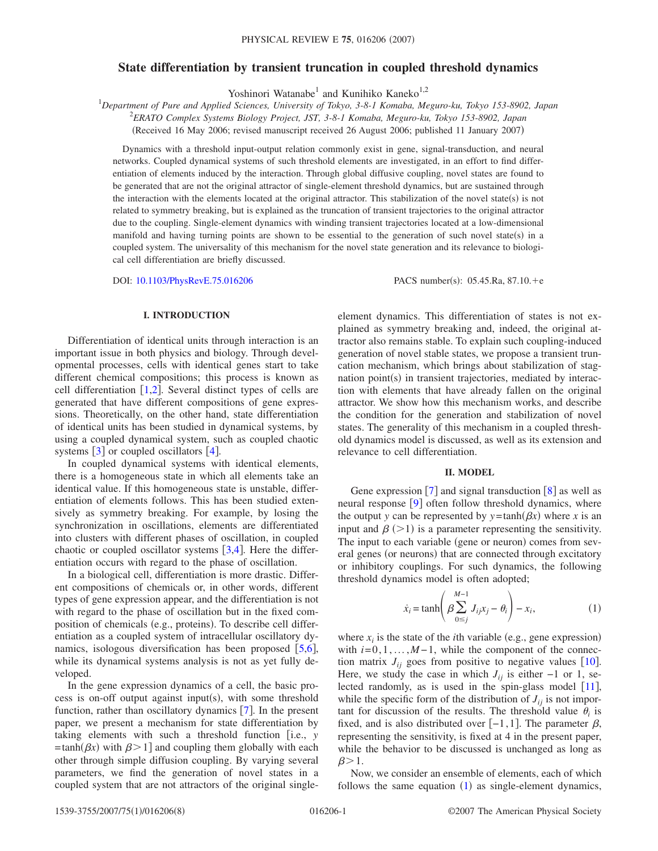# **State differentiation by transient truncation in coupled threshold dynamics**

Yoshinori Watanabe<sup>1</sup> and Kunihiko Kaneko<sup>1,2</sup>

1 *Department of Pure and Applied Sciences, University of Tokyo, 3-8-1 Komaba, Meguro-ku, Tokyo 153-8902, Japan*

2 *ERATO Complex Systems Biology Project, JST, 3-8-1 Komaba, Meguro-ku, Tokyo 153-8902, Japan*

(Received 16 May 2006; revised manuscript received 26 August 2006; published 11 January 2007)

Dynamics with a threshold input-output relation commonly exist in gene, signal-transduction, and neural networks. Coupled dynamical systems of such threshold elements are investigated, in an effort to find differentiation of elements induced by the interaction. Through global diffusive coupling, novel states are found to be generated that are not the original attractor of single-element threshold dynamics, but are sustained through the interaction with the elements located at the original attractor. This stabilization of the novel state(s) is not related to symmetry breaking, but is explained as the truncation of transient trajectories to the original attractor due to the coupling. Single-element dynamics with winding transient trajectories located at a low-dimensional manifold and having turning points are shown to be essential to the generation of such novel state(s) in a coupled system. The universality of this mechanism for the novel state generation and its relevance to biological cell differentiation are briefly discussed.

DOI: [10.1103/PhysRevE.75.016206](http://dx.doi.org/10.1103/PhysRevE.75.016206)

PACS number(s):  $05.45$ .Ra,  $87.10.+e$ 

# **I. INTRODUCTION**

Differentiation of identical units through interaction is an important issue in both physics and biology. Through developmental processes, cells with identical genes start to take different chemical compositions; this process is known as cell differentiation  $[1,2]$  $[1,2]$  $[1,2]$  $[1,2]$ . Several distinct types of cells are generated that have different compositions of gene expressions. Theoretically, on the other hand, state differentiation of identical units has been studied in dynamical systems, by using a coupled dynamical system, such as coupled chaotic systems  $\lceil 3 \rceil$  $\lceil 3 \rceil$  $\lceil 3 \rceil$  or coupled oscillators  $\lceil 4 \rceil$  $\lceil 4 \rceil$  $\lceil 4 \rceil$ .

In coupled dynamical systems with identical elements, there is a homogeneous state in which all elements take an identical value. If this homogeneous state is unstable, differentiation of elements follows. This has been studied extensively as symmetry breaking. For example, by losing the synchronization in oscillations, elements are differentiated into clusters with different phases of oscillation, in coupled chaotic or coupled oscillator systems  $[3,4]$  $[3,4]$  $[3,4]$  $[3,4]$ . Here the differentiation occurs with regard to the phase of oscillation.

In a biological cell, differentiation is more drastic. Different compositions of chemicals or, in other words, different types of gene expression appear, and the differentiation is not with regard to the phase of oscillation but in the fixed composition of chemicals (e.g., proteins). To describe cell differentiation as a coupled system of intracellular oscillatory dynamics, isologous diversification has been proposed  $[5,6]$  $[5,6]$  $[5,6]$  $[5,6]$ , while its dynamical systems analysis is not as yet fully developed.

In the gene expression dynamics of a cell, the basic process is on-off output against input(s), with some threshold function, rather than oscillatory dynamics  $[7]$  $[7]$  $[7]$ . In the present paper, we present a mechanism for state differentiation by taking elements with such a threshold function [i.e., *y*  $=$ tanh( $\beta x$ ) with  $\beta$  > 1] and coupling them globally with each other through simple diffusion coupling. By varying several parameters, we find the generation of novel states in a coupled system that are not attractors of the original singleelement dynamics. This differentiation of states is not explained as symmetry breaking and, indeed, the original attractor also remains stable. To explain such coupling-induced generation of novel stable states, we propose a transient truncation mechanism, which brings about stabilization of stagnation point(s) in transient trajectories, mediated by interaction with elements that have already fallen on the original attractor. We show how this mechanism works, and describe the condition for the generation and stabilization of novel states. The generality of this mechanism in a coupled threshold dynamics model is discussed, as well as its extension and relevance to cell differentiation.

# **II. MODEL**

Gene expression  $\lceil 7 \rceil$  $\lceil 7 \rceil$  $\lceil 7 \rceil$  and signal transduction  $\lceil 8 \rceil$  $\lceil 8 \rceil$  $\lceil 8 \rceil$  as well as neural response  $\lceil 9 \rceil$  $\lceil 9 \rceil$  $\lceil 9 \rceil$  often follow threshold dynamics, where the output *y* can be represented by  $y = \tanh(\beta x)$  where *x* is an input and  $\beta$  (>1) is a parameter representing the sensitivity. The input to each variable (gene or neuron) comes from several genes (or neurons) that are connected through excitatory or inhibitory couplings. For such dynamics, the following threshold dynamics model is often adopted;

$$
\dot{x}_i = \tanh\left(\beta \sum_{0 \le j}^{M-1} J_{ij} x_j - \theta_i\right) - x_i,\tag{1}
$$

<span id="page-0-0"></span>where  $x_i$  is the state of the *i*th variable (e.g., gene expression) with *i*=0,1,...,*M*−1, while the component of the connection matrix  $J_{ij}$  goes from positive to negative values [[10](#page-7-6)]. Here, we study the case in which  $J_{ii}$  is either −1 or 1, selected randomly, as is used in the spin-glass model  $[11]$  $[11]$  $[11]$ , while the specific form of the distribution of  $J_{ii}$  is not important for discussion of the results. The threshold value  $\theta_i$  is fixed, and is also distributed over  $[-1,1]$ . The parameter  $\beta$ , representing the sensitivity, is fixed at 4 in the present paper, while the behavior to be discussed is unchanged as long as  $\beta > 1$ .

Now, we consider an ensemble of elements, each of which follows the same equation  $(1)$  $(1)$  $(1)$  as single-element dynamics,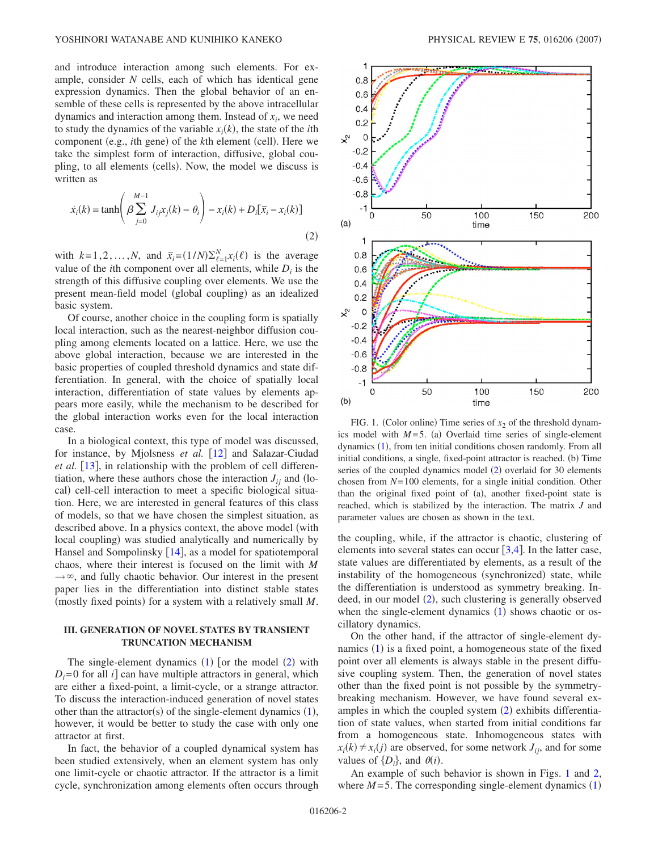and introduce interaction among such elements. For example, consider *N* cells, each of which has identical gene expression dynamics. Then the global behavior of an ensemble of these cells is represented by the above intracellular dynamics and interaction among them. Instead of  $x_i$ , we need to study the dynamics of the variable  $x_i(k)$ , the state of the *i*th component (e.g., *i*th gene) of the *k*th element (cell). Here we take the simplest form of interaction, diffusive, global coupling, to all elements (cells). Now, the model we discuss is written as

<span id="page-1-0"></span>
$$
\dot{x}_i(k) = \tanh\left(\beta \sum_{j=0}^{M-1} J_{ij} x_j(k) - \theta_i\right) - x_i(k) + D_i[\bar{x}_i - x_i(k)]
$$
\n(2)

with  $k=1,2,...,N$ , and  $\bar{x}_i = (1/N)\sum_{\ell=1}^N x_i(\ell)$  is the average value of the *i*th component over all elements, while  $D_i$  is the strength of this diffusive coupling over elements. We use the present mean-field model (global coupling) as an idealized basic system.

Of course, another choice in the coupling form is spatially local interaction, such as the nearest-neighbor diffusion coupling among elements located on a lattice. Here, we use the above global interaction, because we are interested in the basic properties of coupled threshold dynamics and state differentiation. In general, with the choice of spatially local interaction, differentiation of state values by elements appears more easily, while the mechanism to be described for the global interaction works even for the local interaction case.

In a biological context, this type of model was discussed, for instance, by Mjolsness *et al.* [[12](#page-7-8)] and Salazar-Ciudad *et al.* [[13](#page-7-9)], in relationship with the problem of cell differentiation, where these authors chose the interaction  $J_{ij}$  and (local) cell-cell interaction to meet a specific biological situation. Here, we are interested in general features of this class of models, so that we have chosen the simplest situation, as described above. In a physics context, the above model (with local coupling) was studied analytically and numerically by Hansel and Sompolinsky  $|14|$  $|14|$  $|14|$ , as a model for spatiotemporal chaos, where their interest is focused on the limit with *M*  $\rightarrow \infty$ , and fully chaotic behavior. Our interest in the present paper lies in the differentiation into distinct stable states (mostly fixed points) for a system with a relatively small M.

# **III. GENERATION OF NOVEL STATES BY TRANSIENT TRUNCATION MECHANISM**

The single-element dynamics  $(1)$  $(1)$  $(1)$  [or the model  $(2)$  $(2)$  $(2)$  with  $D_i = 0$  for all *i* can have multiple attractors in general, which are either a fixed-point, a limit-cycle, or a strange attractor. To discuss the interaction-induced generation of novel states other than the attractor(s) of the single-element dynamics  $(1)$  $(1)$  $(1)$ , however, it would be better to study the case with only one attractor at first.

In fact, the behavior of a coupled dynamical system has been studied extensively, when an element system has only one limit-cycle or chaotic attractor. If the attractor is a limit cycle, synchronization among elements often occurs through

<span id="page-1-1"></span>

FIG. 1. (Color online) Time series of  $x_2$  of the threshold dynamics model with  $M=5$ . (a) Overlaid time series of single-element dynamics ([1](#page-0-0)), from ten initial conditions chosen randomly. From all initial conditions, a single, fixed-point attractor is reached. (b) Time series of the coupled dynamics model ([2](#page-1-0)) overlaid for 30 elements chosen from *N*= 100 elements, for a single initial condition. Other than the original fixed point of (a), another fixed-point state is reached, which is stabilized by the interaction. The matrix *J* and parameter values are chosen as shown in the text.

the coupling, while, if the attractor is chaotic, clustering of elements into several states can occur  $[3,4]$  $[3,4]$  $[3,4]$  $[3,4]$ . In the latter case, state values are differentiated by elements, as a result of the instability of the homogeneous (synchronized) state, while the differentiation is understood as symmetry breaking. In-deed, in our model ([2](#page-1-0)), such clustering is generally observed when the single-element dynamics ([1](#page-0-0)) shows chaotic or oscillatory dynamics.

On the other hand, if the attractor of single-element dy-namics ([1](#page-0-0)) is a fixed point, a homogeneous state of the fixed point over all elements is always stable in the present diffusive coupling system. Then, the generation of novel states other than the fixed point is not possible by the symmetrybreaking mechanism. However, we have found several ex-amples in which the coupled system ([2](#page-1-0)) exhibits differentiation of state values, when started from initial conditions far from a homogeneous state. Inhomogeneous states with  $x_i(k) \neq x_i(j)$  are observed, for some network  $J_{ij}$ , and for some values of  $\{D_i\}$ , and  $\theta(i)$ .

An example of such behavior is shown in Figs. [1](#page-1-1) and [2,](#page-2-0) where  $M = 5$ . The corresponding single-element dynamics  $(1)$  $(1)$  $(1)$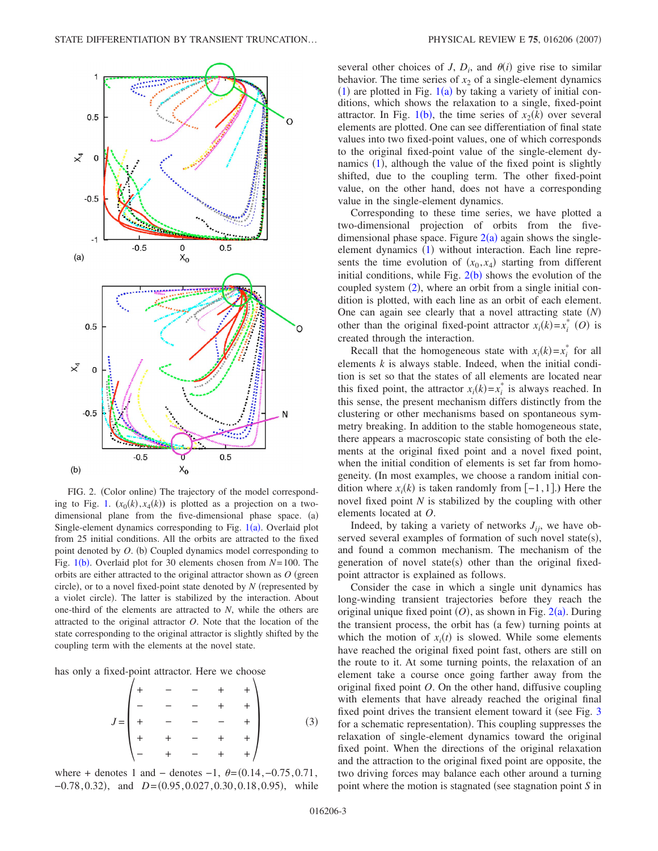<span id="page-2-0"></span>

FIG. 2. (Color online) The trajectory of the model correspond-ing to Fig. [1.](#page-1-1)  $(x_0(k), x_4(k))$  is plotted as a projection on a twodimensional plane from the five-dimensional phase space. (a) Single-element dynamics corresponding to Fig.  $1(a)$  $1(a)$ . Overlaid plot from 25 initial conditions. All the orbits are attracted to the fixed point denoted by O. (b) Coupled dynamics model corresponding to Fig. [1](#page-1-1)(b). Overlaid plot for 30 elements chosen from *N*=100. The orbits are either attracted to the original attractor shown as  $O$  (green circle), or to a novel fixed-point state denoted by *N* (represented by a violet circle). The latter is stabilized by the interaction. About one-third of the elements are attracted to *N*, while the others are attracted to the original attractor *O*. Note that the location of the state corresponding to the original attractor is slightly shifted by the coupling term with the elements at the novel state.

<span id="page-2-1"></span>has only a fixed-point attractor. Here we choose

*J* = + −−++ − −−++ + −−−+ + +−++ − +−++ 3-

where + denotes 1 and – denotes –1,  $\theta$ = $(0.14, -0.75, 0.71,$ −0.78, 0.32), and *D*=(0.95, 0.027, 0.30, 0.18, 0.95), while

several other choices of *J*,  $D_i$ , and  $\theta(i)$  give rise to similar behavior. The time series of  $x<sub>2</sub>$  of a single-element dynamics  $(1)$  $(1)$  $(1)$  are plotted in Fig.  $1(a)$  by taking a variety of initial conditions, which shows the relaxation to a single, fixed-point attractor. In Fig. [1](#page-1-1)(b), the time series of  $x_2(k)$  over several elements are plotted. One can see differentiation of final state values into two fixed-point values, one of which corresponds to the original fixed-point value of the single-element dy-namics ([1](#page-0-0)), although the value of the fixed point is slightly shifted, due to the coupling term. The other fixed-point value, on the other hand, does not have a corresponding value in the single-element dynamics.

Corresponding to these time series, we have plotted a two-dimensional projection of orbits from the fivedimensional phase space. Figure  $2(a)$  $2(a)$  again shows the single-element dynamics ([1](#page-0-0)) without interaction. Each line represents the time evolution of  $(x_0, x_4)$  starting from different initial conditions, while Fig.  $2(b)$  $2(b)$  shows the evolution of the coupled system ([2](#page-1-0)), where an orbit from a single initial condition is plotted, with each line as an orbit of each element. One can again see clearly that a novel attracting state *N* other than the original fixed-point attractor  $x_i(k) = x_i^*$  (O) is created through the interaction.

Recall that the homogeneous state with  $x_i(k) = x_i^*$  for all elements *k* is always stable. Indeed, when the initial condition is set so that the states of all elements are located near this fixed point, the attractor  $x_i(k) = x_i^*$  is always reached. In this sense, the present mechanism differs distinctly from the clustering or other mechanisms based on spontaneous symmetry breaking. In addition to the stable homogeneous state, there appears a macroscopic state consisting of both the elements at the original fixed point and a novel fixed point, when the initial condition of elements is set far from homogeneity. **(**In most examples, we choose a random initial condition where  $x_i(k)$  is taken randomly from  $[-1,1]$ .) Here the novel fixed point *N* is stabilized by the coupling with other elements located at *O*.

Indeed, by taking a variety of networks  $J_{ij}$ , we have observed several examples of formation of such novel state(s), and found a common mechanism. The mechanism of the generation of novel state(s) other than the original fixedpoint attractor is explained as follows.

Consider the case in which a single unit dynamics has long-winding transient trajectories before they reach the original unique fixed point  $(O)$ , as shown in Fig.  $2(a)$  $2(a)$ . During the transient process, the orbit has (a few) turning points at which the motion of  $x_i(t)$  is slowed. While some elements have reached the original fixed point fast, others are still on the route to it. At some turning points, the relaxation of an element take a course once going farther away from the original fixed point *O*. On the other hand, diffusive coupling with elements that have already reached the original final fixed point drives the transient element toward it (see Fig.  $3$ for a schematic representation). This coupling suppresses the relaxation of single-element dynamics toward the original fixed point. When the directions of the original relaxation and the attraction to the original fixed point are opposite, the two driving forces may balance each other around a turning point where the motion is stagnated (see stagnation point *S* in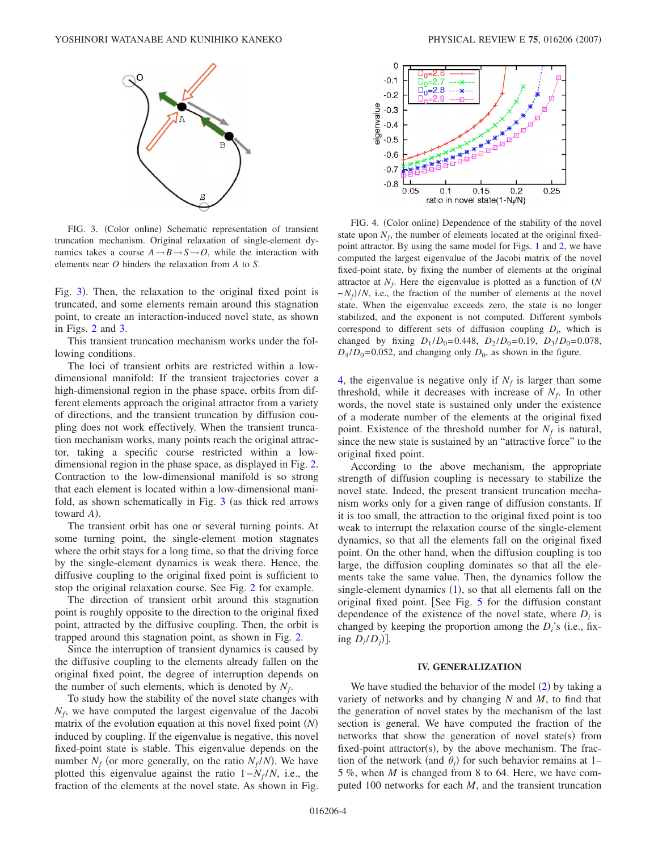<span id="page-3-0"></span>

FIG. 3. (Color online) Schematic representation of transient truncation mechanism. Original relaxation of single-element dynamics takes a course  $A \rightarrow B \rightarrow S \rightarrow O$ , while the interaction with elements near *O* hinders the relaxation from *A* to *S*.

Fig. [3](#page-3-0)). Then, the relaxation to the original fixed point is truncated, and some elements remain around this stagnation point, to create an interaction-induced novel state, as shown in Figs. [2](#page-2-0) and [3.](#page-3-0)

This transient truncation mechanism works under the following conditions.

The loci of transient orbits are restricted within a lowdimensional manifold: If the transient trajectories cover a high-dimensional region in the phase space, orbits from different elements approach the original attractor from a variety of directions, and the transient truncation by diffusion coupling does not work effectively. When the transient truncation mechanism works, many points reach the original attractor, taking a specific course restricted within a lowdimensional region in the phase space, as displayed in Fig. [2.](#page-2-0) Contraction to the low-dimensional manifold is so strong that each element is located within a low-dimensional manifold, as shown schematically in Fig.  $3$  (as thick red arrows toward *A*).

The transient orbit has one or several turning points. At some turning point, the single-element motion stagnates where the orbit stays for a long time, so that the driving force by the single-element dynamics is weak there. Hence, the diffusive coupling to the original fixed point is sufficient to stop the original relaxation course. See Fig. [2](#page-2-0) for example.

The direction of transient orbit around this stagnation point is roughly opposite to the direction to the original fixed point, attracted by the diffusive coupling. Then, the orbit is trapped around this stagnation point, as shown in Fig. [2.](#page-2-0)

Since the interruption of transient dynamics is caused by the diffusive coupling to the elements already fallen on the original fixed point, the degree of interruption depends on the number of such elements, which is denoted by  $N_f$ .

To study how the stability of the novel state changes with *N<sub>f</sub>*, we have computed the largest eigenvalue of the Jacobi matrix of the evolution equation at this novel fixed point *N* induced by coupling. If the eigenvalue is negative, this novel fixed-point state is stable. This eigenvalue depends on the number  $N_f$  (or more generally, on the ratio  $N_f/N$ ). We have plotted this eigenvalue against the ratio  $1 - N_f/N$ , i.e., the fraction of the elements at the novel state. As shown in Fig.

<span id="page-3-1"></span>

FIG. 4. (Color online) Dependence of the stability of the novel state upon  $N_f$ , the number of elements located at the original fixedpoint attractor. By using the same model for Figs. [1](#page-1-1) and [2,](#page-2-0) we have computed the largest eigenvalue of the Jacobi matrix of the novel fixed-point state, by fixing the number of elements at the original attractor at  $N_f$ . Here the eigenvalue is plotted as a function of  $(N$ *−N<sub>f</sub>*)/*N*, i.e., the fraction of the number of elements at the novel state. When the eigenvalue exceeds zero, the state is no longer stabilized, and the exponent is not computed. Different symbols correspond to different sets of diffusion coupling *Di*, which is changed by fixing  $D_1 / D_0 = 0.448$ ,  $D_2 / D_0 = 0.19$ ,  $D_3 / D_0 = 0.078$ ,  $D_4 / D_0 = 0.052$ , and changing only  $D_0$ , as shown in the figure.

[4,](#page-3-1) the eigenvalue is negative only if  $N_f$  is larger than some threshold, while it decreases with increase of  $N_f$ . In other words, the novel state is sustained only under the existence of a moderate number of the elements at the original fixed point. Existence of the threshold number for  $N_f$  is natural, since the new state is sustained by an "attractive force" to the original fixed point.

According to the above mechanism, the appropriate strength of diffusion coupling is necessary to stabilize the novel state. Indeed, the present transient truncation mechanism works only for a given range of diffusion constants. If it is too small, the attraction to the original fixed point is too weak to interrupt the relaxation course of the single-element dynamics, so that all the elements fall on the original fixed point. On the other hand, when the diffusion coupling is too large, the diffusion coupling dominates so that all the elements take the same value. Then, the dynamics follow the single-element dynamics  $(1)$  $(1)$  $(1)$ , so that all elements fall on the original fixed point. [See Fig. [5](#page-4-0) for the diffusion constant dependence of the existence of the novel state, where  $D_i$  is changed by keeping the proportion among the  $D_i$ 's (i.e., fixing  $D_i/D_j$ ].

### **IV. GENERALIZATION**

We have studied the behavior of the model  $(2)$  $(2)$  $(2)$  by taking a variety of networks and by changing *N* and *M*, to find that the generation of novel states by the mechanism of the last section is general. We have computed the fraction of the networks that show the generation of novel state(s) from fixed-point attractor(s), by the above mechanism. The fraction of the network (and  $\theta_j$ ) for such behavior remains at 1– 5 %, when *M* is changed from 8 to 64. Here, we have computed 100 networks for each *M*, and the transient truncation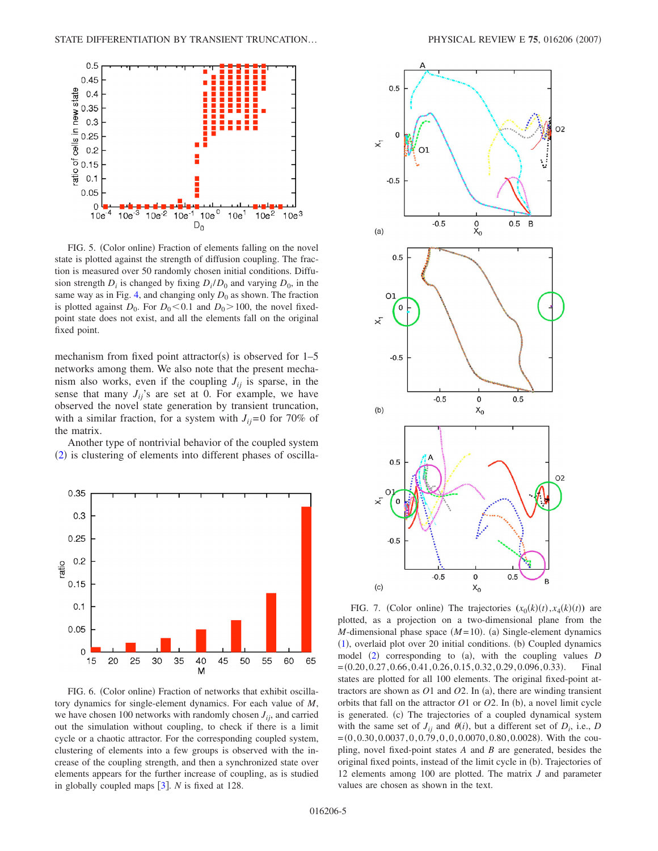<span id="page-4-0"></span>

FIG. 5. (Color online) Fraction of elements falling on the novel state is plotted against the strength of diffusion coupling. The fraction is measured over 50 randomly chosen initial conditions. Diffusion strength  $D_i$  is changed by fixing  $D_i/D_0$  and varying  $D_0$ , in the same way as in Fig. [4,](#page-3-1) and changing only  $D_0$  as shown. The fraction is plotted against  $D_0$ . For  $D_0 < 0.1$  and  $D_0 > 100$ , the novel fixedpoint state does not exist, and all the elements fall on the original fixed point.

mechanism from fixed point attractor(s) is observed for  $1-5$ networks among them. We also note that the present mechanism also works, even if the coupling  $J_{ii}$  is sparse, in the sense that many  $J_{ij}$ 's are set at 0. For example, we have observed the novel state generation by transient truncation, with a similar fraction, for a system with  $J_{ii}=0$  for 70% of the matrix.

Another type of nontrivial behavior of the coupled system ([2](#page-1-0)) is clustering of elements into different phases of oscilla-

<span id="page-4-1"></span>

FIG. 6. (Color online) Fraction of networks that exhibit oscillatory dynamics for single-element dynamics. For each value of *M*, we have chosen 100 networks with randomly chosen  $J_{ij}$ , and carried out the simulation without coupling, to check if there is a limit cycle or a chaotic attractor. For the corresponding coupled system, clustering of elements into a few groups is observed with the increase of the coupling strength, and then a synchronized state over elements appears for the further increase of coupling, as is studied in globally coupled maps  $\left[3\right]$  $\left[3\right]$  $\left[3\right]$ . *N* is fixed at 128.

<span id="page-4-2"></span>

FIG. 7. (Color online) The trajectories  $(x_0(k)(t), x_4(k)(t))$  are plotted, as a projection on a two-dimensional plane from the *M*-dimensional phase space  $(M=10)$ . (a) Single-element dynamics ([1](#page-0-0)), overlaid plot over 20 initial conditions. (b) Coupled dynamics model ([2](#page-1-0)) corresponding to (a), with the coupling values *D*  $=(0.20, 0.27, 0.66, 0.41, 0.26, 0.15, 0.32, 0.29, 0.096, 0.33).$ . Final states are plotted for all 100 elements. The original fixed-point attractors are shown as  $O1$  and  $O2$ . In (a), there are winding transient orbits that fall on the attractor  $O1$  or  $O2$ . In (b), a novel limit cycle is generated. (c) The trajectories of a coupled dynamical system with the same set of  $J_{ij}$  and  $\theta(i)$ , but a different set of  $D_i$ , i.e., *D*  $=(0, 0.30, 0.0037, 0, 0.79, 0, 0, 0.0070, 0.80, 0.0028)$ . With the coupling, novel fixed-point states *A* and *B* are generated, besides the original fixed points, instead of the limit cycle in (b). Trajectories of 12 elements among 100 are plotted. The matrix *J* and parameter values are chosen as shown in the text.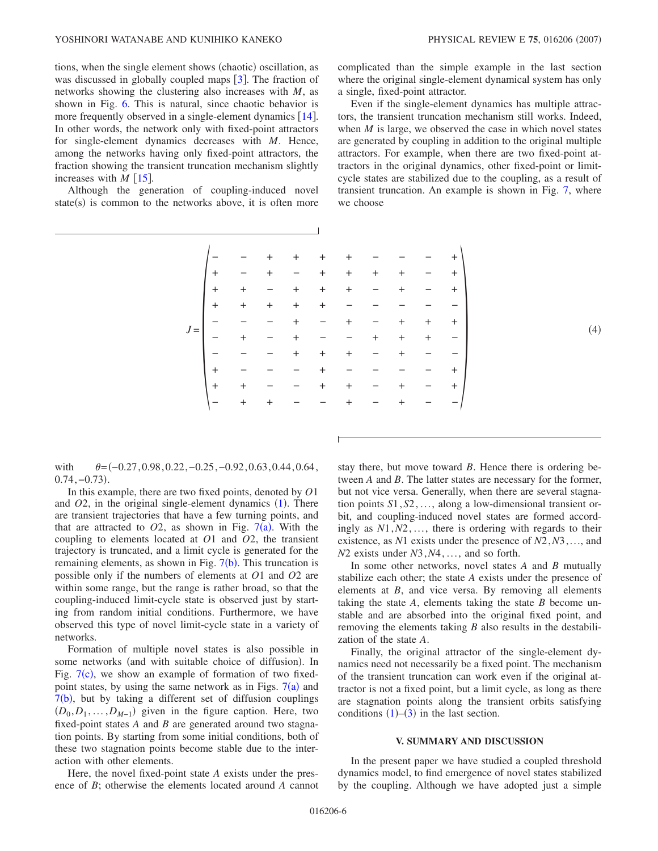tions, when the single element shows (chaotic) oscillation, as was discussed in globally coupled maps  $\lceil 3 \rceil$  $\lceil 3 \rceil$  $\lceil 3 \rceil$ . The fraction of networks showing the clustering also increases with *M*, as shown in Fig. [6.](#page-4-1) This is natural, since chaotic behavior is more frequently observed in a single-element dynamics  $[14]$  $[14]$  $[14]$ . In other words, the network only with fixed-point attractors for single-element dynamics decreases with *M*. Hence, among the networks having only fixed-point attractors, the fraction showing the transient truncation mechanism slightly increases with  $M \lceil 15 \rceil$  $M \lceil 15 \rceil$  $M \lceil 15 \rceil$ .

Although the generation of coupling-induced novel state(s) is common to the networks above, it is often more

complicated than the simple example in the last section where the original single-element dynamical system has only a single, fixed-point attractor.

Even if the single-element dynamics has multiple attractors, the transient truncation mechanism still works. Indeed, when *M* is large, we observed the case in which novel states are generated by coupling in addition to the original multiple attractors. For example, when there are two fixed-point attractors in the original dynamics, other fixed-point or limitcycle states are stabilized due to the coupling, as a result of transient truncation. An example is shown in Fig. [7,](#page-4-2) where we choose

|       |                  |                      | $+$                      | $+$                                                                     | $+$                                                       | $+$               |                            |           |     | $+$ $\overline{\phantom{0}}$ |
|-------|------------------|----------------------|--------------------------|-------------------------------------------------------------------------|-----------------------------------------------------------|-------------------|----------------------------|-----------|-----|------------------------------|
| $J =$ | $\vert +$        | $\alpha_{\rm c} = 0$ | $+$                      | $ +$                                                                    |                                                           | $+$               | $+$                        | $+$       |     | $+$                          |
|       | $+$              | $\pm$                | $\sim$ $-$               | $+$                                                                     | $+$                                                       | $+$               | $\qquad \qquad -$          | $\ddot{}$ |     | $+$                          |
|       | $+$              | $\pm$                | $+$                      | $+$                                                                     | $+$                                                       |                   |                            |           |     |                              |
|       |                  |                      | $\overline{\phantom{a}}$ |                                                                         | $\mathcal{L}_{\rm{max}}$                                  | $+$               |                            | $ +$      | $+$ | $+$                          |
|       |                  |                      |                          |                                                                         | $\begin{array}{cccccccccc} - & - & - & - & + \end{array}$ |                   |                            | $\pm$     | $+$ |                              |
|       |                  |                      |                          | $\ddot{}$                                                               | $+$                                                       | $+$               |                            | $\ddot{}$ |     |                              |
|       | $+$              |                      |                          |                                                                         | $+$                                                       | $\qquad \qquad -$ |                            |           |     | $^{+}$                       |
|       | $  +  $          | $+$                  |                          |                                                                         | $+$                                                       | $\ddot{}$         | $-$                        | $\ddot{}$ |     | $+$                          |
|       | $\left(-\right)$ | $+$                  | $+$                      | $\mathcal{L}=\mathcal{L}^{\mathcal{L}}$ and $\mathcal{L}^{\mathcal{L}}$ |                                                           | $+$               | $\alpha \rightarrow \beta$ | $\ddot{}$ |     | $\qquad \qquad -$            |
|       |                  |                      |                          |                                                                         |                                                           |                   |                            |           |     |                              |

with  $\theta = (-0.27, 0.98, 0.22, -0.25, -0.92, 0.63, 0.44, 0.64,$  $0.74, -0.73$ ).

In this example, there are two fixed points, denoted by *O*1 and  $O2$ , in the original single-element dynamics  $(1)$  $(1)$  $(1)$ . There are transient trajectories that have a few turning points, and that are attracted to  $O2$ , as shown in Fig.  $7(a)$  $7(a)$ . With the coupling to elements located at *O*1 and *O*2, the transient trajectory is truncated, and a limit cycle is generated for the remaining elements, as shown in Fig. [7](#page-4-2)(b). This truncation is possible only if the numbers of elements at *O*1 and *O*2 are within some range, but the range is rather broad, so that the coupling-induced limit-cycle state is observed just by starting from random initial conditions. Furthermore, we have observed this type of novel limit-cycle state in a variety of networks.

Formation of multiple novel states is also possible in some networks (and with suitable choice of diffusion). In Fig.  $7(c)$  $7(c)$ , we show an example of formation of two fixedpoint states, by using the same network as in Figs.  $7(a)$  $7(a)$  and  $7(b)$  $7(b)$ , but by taking a different set of diffusion couplings  $(D_0, D_1, \ldots, D_{M-1})$  given in the figure caption. Here, two fixed-point states *A* and *B* are generated around two stagnation points. By starting from some initial conditions, both of these two stagnation points become stable due to the interaction with other elements.

Here, the novel fixed-point state *A* exists under the presence of *B*; otherwise the elements located around *A* cannot stay there, but move toward *B*. Hence there is ordering between *A* and *B*. The latter states are necessary for the former, but not vice versa. Generally, when there are several stagnation points *S*1,*S*2,..., along a low-dimensional transient orbit, and coupling-induced novel states are formed accordingly as *N*1,*N*2,..., there is ordering with regards to their existence, as *N*1 exists under the presence of *N*2,*N*3,..., and *N*2 exists under *N*3,*N*4, ..., and so forth.

In some other networks, novel states *A* and *B* mutually stabilize each other; the state *A* exists under the presence of elements at *B*, and vice versa. By removing all elements taking the state *A*, elements taking the state *B* become unstable and are absorbed into the original fixed point, and removing the elements taking *B* also results in the destabilization of the state *A*.

Finally, the original attractor of the single-element dynamics need not necessarily be a fixed point. The mechanism of the transient truncation can work even if the original attractor is not a fixed point, but a limit cycle, as long as there are stagnation points along the transient orbits satisfying conditions  $(1)$  $(1)$  $(1)$ – $(3)$  $(3)$  $(3)$  in the last section.

#### **V. SUMMARY AND DISCUSSION**

In the present paper we have studied a coupled threshold dynamics model, to find emergence of novel states stabilized by the coupling. Although we have adopted just a simple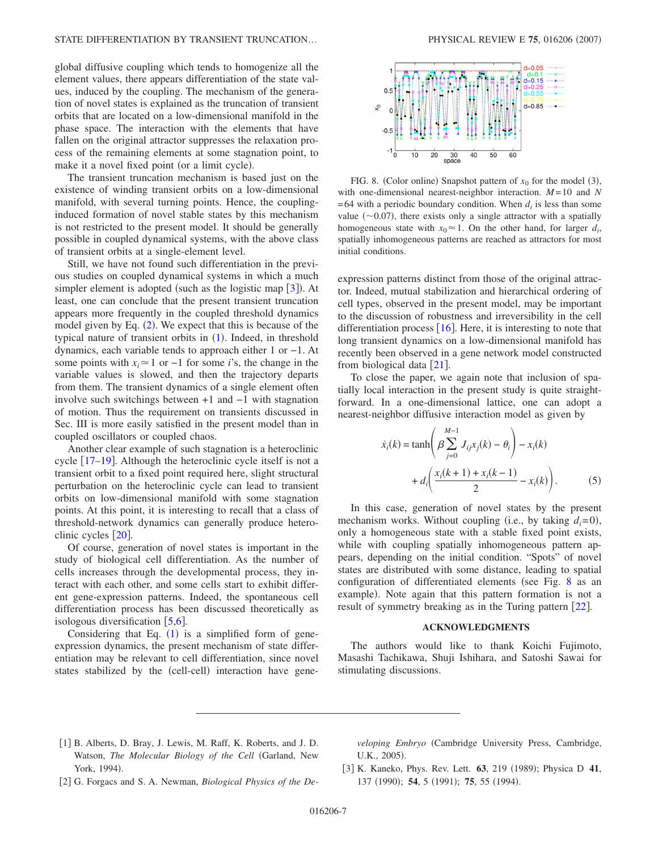global diffusive coupling which tends to homogenize all the element values, there appears differentiation of the state values, induced by the coupling. The mechanism of the generation of novel states is explained as the truncation of transient orbits that are located on a low-dimensional manifold in the phase space. The interaction with the elements that have fallen on the original attractor suppresses the relaxation process of the remaining elements at some stagnation point, to make it a novel fixed point (or a limit cycle).

The transient truncation mechanism is based just on the existence of winding transient orbits on a low-dimensional manifold, with several turning points. Hence, the couplinginduced formation of novel stable states by this mechanism is not restricted to the present model. It should be generally possible in coupled dynamical systems, with the above class of transient orbits at a single-element level.

Still, we have not found such differentiation in the previous studies on coupled dynamical systems in which a much simpler element is adopted (such as the logistic map  $[3]$  $[3]$  $[3]$ ). At least, one can conclude that the present transient truncation appears more frequently in the coupled threshold dynamics model given by Eq. ([2](#page-1-0)). We expect that this is because of the typical nature of transient orbits in ([1](#page-0-0)). Indeed, in threshold dynamics, each variable tends to approach either 1 or −1. At some points with  $x_i \approx 1$  or  $-1$  for some *i*'s, the change in the variable values is slowed, and then the trajectory departs from them. The transient dynamics of a single element often involve such switchings between +1 and −1 with stagnation of motion. Thus the requirement on transients discussed in Sec. III is more easily satisfied in the present model than in coupled oscillators or coupled chaos.

Another clear example of such stagnation is a heteroclinic cycle  $[17-19]$  $[17-19]$  $[17-19]$ . Although the heteroclinic cycle itself is not a transient orbit to a fixed point required here, slight structural perturbation on the heteroclinic cycle can lead to transient orbits on low-dimensional manifold with some stagnation points. At this point, it is interesting to recall that a class of threshold-network dynamics can generally produce heteroclinic cycles  $|20|$  $|20|$  $|20|$ .

Of course, generation of novel states is important in the study of biological cell differentiation. As the number of cells increases through the developmental process, they interact with each other, and some cells start to exhibit different gene-expression patterns. Indeed, the spontaneous cell differentiation process has been discussed theoretically as isologous diversification  $\lceil 5.6 \rceil$  $\lceil 5.6 \rceil$  $\lceil 5.6 \rceil$ .

Considering that Eq.  $(1)$  $(1)$  $(1)$  is a simplified form of geneexpression dynamics, the present mechanism of state differentiation may be relevant to cell differentiation, since novel states stabilized by the (cell-cell) interaction have gene-

<span id="page-6-3"></span>

FIG. 8. (Color online) Snapshot pattern of  $x_0$  for the model (3), with one-dimensional nearest-neighbor interaction. *M* = 10 and *N*  $= 64$  with a periodic boundary condition. When  $d_i$  is less than some value  $(\sim 0.07)$ , there exists only a single attractor with a spatially homogeneous state with  $x_0 \approx 1$ . On the other hand, for larger  $d_i$ , spatially inhomogeneous patterns are reached as attractors for most initial conditions.

expression patterns distinct from those of the original attractor. Indeed, mutual stabilization and hierarchical ordering of cell types, observed in the present model, may be important to the discussion of robustness and irreversibility in the cell differentiation process  $\vert 16 \vert$  $\vert 16 \vert$  $\vert 16 \vert$ . Here, it is interesting to note that long transient dynamics on a low-dimensional manifold has recently been observed in a gene network model constructed from biological data  $[21]$  $[21]$  $[21]$ .

To close the paper, we again note that inclusion of spatially local interaction in the present study is quite straightforward. In a one-dimensional lattice, one can adopt a nearest-neighbor diffusive interaction model as given by

$$
\dot{x}_i(k) = \tanh\left(\beta \sum_{j=0}^{M-1} J_{ij}x_j(k) - \theta_i\right) - x_i(k) + d_i\left(\frac{x_i(k+1) + x_i(k-1)}{2} - x_i(k)\right).
$$
 (5)

In this case, generation of novel states by the present mechanism works. Without coupling (i.e., by taking  $d_i = 0$ ), only a homogeneous state with a stable fixed point exists, while with coupling spatially inhomogeneous pattern appears, depending on the initial condition. "Spots" of novel states are distributed with some distance, leading to spatial configuration of differentiated elements (see Fig.  $8$  as an example). Note again that this pattern formation is not a result of symmetry breaking as in the Turing pattern  $[22]$  $[22]$  $[22]$ .

### **ACKNOWLEDGMENTS**

The authors would like to thank Koichi Fujimoto, Masashi Tachikawa, Shuji Ishihara, and Satoshi Sawai for stimulating discussions.

<span id="page-6-0"></span>[1] B. Alberts, D. Bray, J. Lewis, M. Raff, K. Roberts, and J. D. Watson, *The Molecular Biology of the Cell* Garland, New York, 1994).

*veloping Embryo* Cambridge University Press, Cambridge, U.K., 2005).

- <span id="page-6-1"></span>2 G. Forgacs and S. A. Newman, *Biological Physics of the De-*
- <span id="page-6-2"></span>[3] K. Kaneko, Phys. Rev. Lett. 63, 219 (1989); Physica D 41, 137 (1990); **54**, 5 (1991); **75**, 55 (1994).